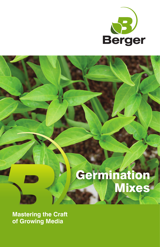

# Germination Mixes

**Mastering the Craft of Growing Media**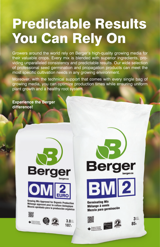# Predictable Results You Can Rely On

Growers around the world rely on Berger's high-quality growing media for their valuable crops. Every mix is blended with superior ingredients, providing unparalleled consistency and predictable results. Our wide selection of professional seed germination and propagation products can meet the most specific cultivation needs in any growing environment.

Moreover, with the technical support that comes with every single bag of growing media, you can optimize production times while ensuring uniform plant growth and a healthy root system.

**Experience the Berger difference!**





Growing Mix Approved for Organic Production Mélange approuvé pour la culture biologique<br>Mezcla aprobada para la culture biologique Mezcla aprobada para la producción orgánica



**Berg BM2** 

**Germinating Mix** Mélange à semis Mezcla para germinación





 $3$ 85 $\iota$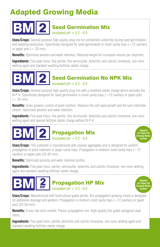## Adapted Growing Media

#### Seed Germination Mix Incubated  $pH = 5.2 - 6.0$

**Uses/Crops:** General purpose high-quality plug mix for unmatched uniformity during seed germination and seedling production. Specifically designed for seed germination in small cavity trays ( $\lt 72$  cavities) or paper pots  $(< 25$  mm).

**Benefits:** Optimized aeration and water retention. Reduced weight for increased volume per shipment.

**Ingredients:** Fine peat moss, fine perlite, fine vermiculite, dolomitic and calcitic limestone, non-ionic wetting agent and standard seedling fertilizer starter charge.

#### **BM2** Seed Germination No NPK Mix Incubated  $pH = 5.2 - 6.0$

**Uses/Crops:** General purpose high-quality plug mix with a modified starter charge which excludes the N-P-K. Specifically designed for seed germination in small cavity trays (<72 cavities) or paper pots  $(< 25$  mm).

**Benefits:** Gives growers control of plant nutrition. Reduces the soft rapid growth and the lush internode stretch. Optimized aeration and water retention.

**Ingredients:** Fine peat moss, fine perlite, fine vermiculite, dolomitic and calcitic limestone, non-ionic wetting agent and special fertilizer starter charge without N-P-K.

> **Adapted for Paper Pot Growing Media System**

> **Adapted for Paper Pot Growing Media System**



**Uses/Crops:** This substrate is manufactured with coarser aggregates and is designed for uniform propagation of plant materials in larger cavity trays. Propagation in medium sized cavity trays ( $>72$ ) cavities) or paper pots (25-50 mm).

**Benefits:** Optimized porosity and water retention profile.

**Ingredients:** Fine peat moss, perlite, vermiculite, dolomitic and calcitic limestone, non-ionic wetting agent and standard seedling fertilizer starter charge.

#### $\textbf{BM}$   $\textbf{2}$ Propagation HP Mix Incubated  $pH = 5.2 - 6.0$

**Uses/Crops:** Manufactured with horticultural grade perlite, this propagation growing media is designed for additional drainage and aeration. Propagation in medium sized cavity trays (>72 cavities) or paper pots (25-50 mm).

**Benefits:** A very low stick content. Porous propagation mix. High-quality fine grade sphagnum peat moss.

**Ingredients:** Fine peat moss, perlite, dolomitic and calcitic limestone, non-ionic wetting agent and standard seedling fertilizer starter charge.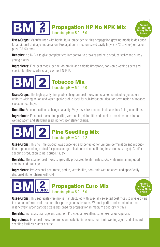### Propagation HP No NPK Mix Incubated  $pH = 5.2 - 6.0$

**Uses/Crops:** Manufactured with horticultural grade perlite, this propagation growing media is designed for additional drainage and aeration. Propagation in medium sized cavity trays ( $>72$  cavities) or paper pots (25-50 mm).

**Benefits:** No N-P-K to give complete fertilizer control to growers and help produce stalky and sturdy young plants.

**Ingredients:** Fine peat moss, perlite, dolomitic and calcitic limestone, non-ionic wetting agent and special fertilizer starter charge without N-P-K.



**Uses/Crops:** The high-quality fine grade sphagnum peat moss and coarser vermiculite generate a uniform wicking action and water uptake profile ideal for sub-irrigation. Ideal for germination of tobacco seeds in float trays.

**Benefits:** Excellent cation exchange capacity. Very low stick content, facilitates tray filling operations.

**Ingredients:** Fine peat moss, fine perlite, vermiculite, dolomitic and calcitic limestone, non-ionic wetting agent and standard seedling fertilizer starter charge.

## Pine Seedling Mix Incubated  $nH = 3.0 - 4.2$

**Uses/Crops:** This no lime product was conceived and perfected for uniform germination and production of pine seedlings. Ideal for pine seed germination in deep cell plug trays (forestry trays). Conifer seedling production (pine, spruce, fir, etc.).

**Benefits:** The coarser peat moss is specially processed to eliminate sticks while maintaining good aeration and drainage.

**Ingredients:** Professional peat moss, perlite, vermiculite, non-ionic wetting agent and specifically designed starter charge with CRF.

### Propagation Euro Mix Incubated  $pH = 5.2 - 6.0$

**Adapted for Paper Pot Growing Media System**

**Adapted for Paper Pot Growing Media System**

**Uses/Crops:** This aggregate-free mix is manufactured with specially selected peat moss to give growers the same uniform results as our other propagation substrates. Without perlite and vermiculite, the distinctively larger particle size is designed for propagation in medium sized cavity trays.

**Benefits:** Increases drainage and aeration. Provided an excellent cation exchange capacity.

**Ingredients:** Fine peat moss, dolomitic and calcitic limestone, non-ionic wetting agent and standard seedling fertilizer starter charge.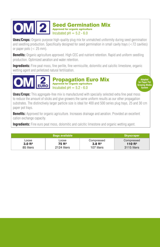## Seed Germination Mix Incubated  $pH = 5.2 - 6.0$

**Uses/Crops:** Organic purpose high-quality plug mix for unmatched uniformity during seed germination and seedling production. Specifically designed for seed germination in small cavity trays ( $\langle$ 72 cavities) or paper pots  $(< 25$  mm).

**Benefits:** Organic agriculture approved. High CEC and nutrient retention. Rapid and uniform seedling production. Optimized aeration and water retention.

**Ingredients:** Fine peat moss, fine perlite, fine vermiculite, dolomitic and calcitic limestone, organic wetting agent and pelletized natural fertilization.



**Adapted for Paper Pot Growing Media System**

**Uses/Crops:** This aggregate-free mix is manufactured with specially selected extra fine peat moss to reduce the amount of sticks and give growers the same uniform results as our other propagation substrates. The distinctively larger particle size is ideal for 400 and 500 series plug trays, 25 and 30 cm paper pot trays.

**Benefits:** Approved for organic agriculture. Increases drainage and aeration. Provided an excellent cation exchange capacity.

**Ingredients:** Fine euro peat moss, dolomitic and calcitic limestone and organic wetting agent.

| <b>Bags available</b> |                   |                       | <b>Skyscraper</b>  |
|-----------------------|-------------------|-----------------------|--------------------|
| Loose                 | Loose             | Compressed            | Compressed         |
| 3.0 <sup>ft3</sup>    | 75ff <sup>3</sup> | $3.8$ ft <sup>3</sup> | 110 <sup>ft3</sup> |
| 85 liters             | 2124 liters       | 107 liters            | 3115 liters        |